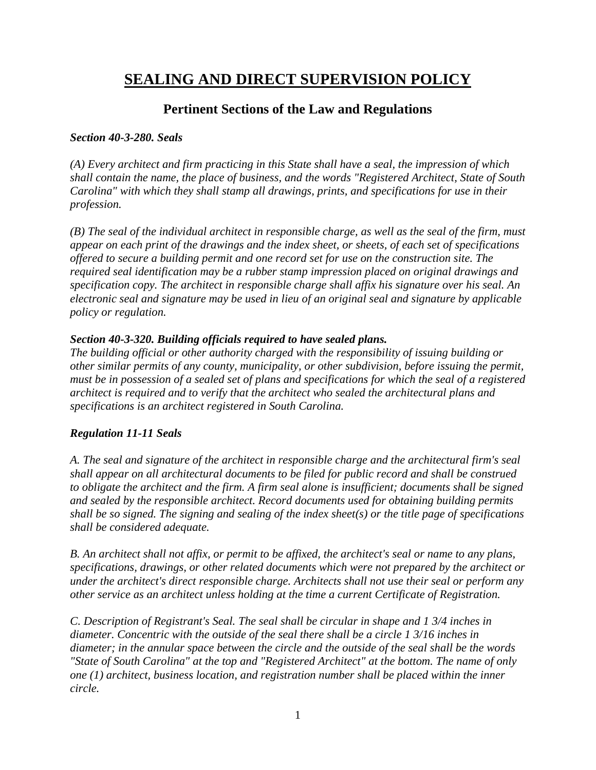# **SEALING AND DIRECT SUPERVISION POLICY**

# **Pertinent Sections of the Law and Regulations**

#### *Section 40-3-280. Seals*

*(A) Every architect and firm practicing in this State shall have a seal, the impression of which shall contain the name, the place of business, and the words "Registered Architect, State of South Carolina" with which they shall stamp all drawings, prints, and specifications for use in their profession.* 

*(B) The seal of the individual architect in responsible charge, as well as the seal of the firm, must appear on each print of the drawings and the index sheet, or sheets, of each set of specifications offered to secure a building permit and one record set for use on the construction site. The required seal identification may be a rubber stamp impression placed on original drawings and specification copy. The architect in responsible charge shall affix his signature over his seal. An electronic seal and signature may be used in lieu of an original seal and signature by applicable policy or regulation.* 

### *Section 40-3-320. Building officials required to have sealed plans.*

*The building official or other authority charged with the responsibility of issuing building or other similar permits of any county, municipality, or other subdivision, before issuing the permit, must be in possession of a sealed set of plans and specifications for which the seal of a registered architect is required and to verify that the architect who sealed the architectural plans and specifications is an architect registered in South Carolina.* 

# *Regulation 11-11 Seals*

*A. The seal and signature of the architect in responsible charge and the architectural firm's seal shall appear on all architectural documents to be filed for public record and shall be construed to obligate the architect and the firm. A firm seal alone is insufficient; documents shall be signed and sealed by the responsible architect. Record documents used for obtaining building permits shall be so signed. The signing and sealing of the index sheet(s) or the title page of specifications shall be considered adequate.* 

*B. An architect shall not affix, or permit to be affixed, the architect's seal or name to any plans, specifications, drawings, or other related documents which were not prepared by the architect or under the architect's direct responsible charge. Architects shall not use their seal or perform any other service as an architect unless holding at the time a current Certificate of Registration.* 

*C. Description of Registrant's Seal. The seal shall be circular in shape and 1 3/4 inches in diameter. Concentric with the outside of the seal there shall be a circle 1 3/16 inches in diameter; in the annular space between the circle and the outside of the seal shall be the words "State of South Carolina" at the top and "Registered Architect" at the bottom. The name of only one (1) architect, business location, and registration number shall be placed within the inner circle.*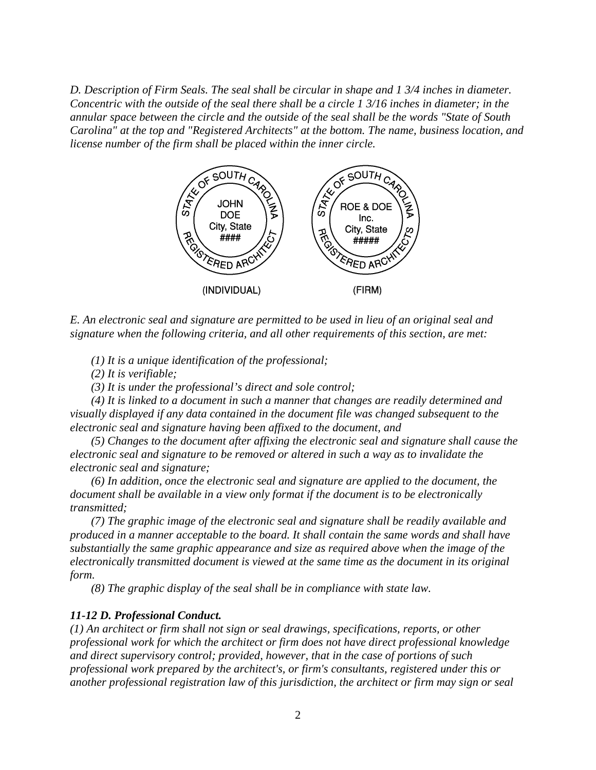*D. Description of Firm Seals. The seal shall be circular in shape and 1 3/4 inches in diameter. Concentric with the outside of the seal there shall be a circle 1 3/16 inches in diameter; in the annular space between the circle and the outside of the seal shall be the words "State of South Carolina" at the top and "Registered Architects" at the bottom. The name, business location, and* 



*E. An electronic seal and signature are permitted to be used in lieu of an original seal and signature when the following criteria, and all other requirements of this section, are met:*

 *(1) It is a unique identification of the professional;*

 *(2) It is verifiable;* 

 *(3) It is under the professional's direct and sole control;*

 *(4) It is linked to a document in such a manner that changes are readily determined and visually displayed if any data contained in the document file was changed subsequent to the electronic seal and signature having been affixed to the document, and*

 *(5) Changes to the document after affixing the electronic seal and signature shall cause the electronic seal and signature to be removed or altered in such a way as to invalidate the electronic seal and signature;* 

 *(6) In addition, once the electronic seal and signature are applied to the document, the document shall be available in a view only format if the document is to be electronically transmitted;* 

 *(7) The graphic image of the produced in a manner acceptable to the board. It shall contain the same words and shall have substantially the same graphic appearance and size as required above when the image of the*  substantially the same graphic appearance and size as required above when the image of the<br>electronically transmitted document is viewed at the same time as the document in its original *form. seal and signature shall be readily available and*<br>*rd. It shall contain the same words and shall have*<br>*ind size as required above when the image of the*<br>*d at the same time as the document in its original*<br>*be in compli* 

 *(8) The graphic display of the seal shall be in compliance with state law.*

#### *11-12 D. Professional Conduct.*

(1) An architect or firm shall not sign or seal drawings, specifications, reports, or other *professional work for which the architect or firm does not have direct professional professional work for which and direct supervisory control; provided, however, that in the case of portions of such professional work prepared by the architect's, or firm's consultants, registered under this or* another professional registration law of this jurisdiction, the architect or firm may sign or seal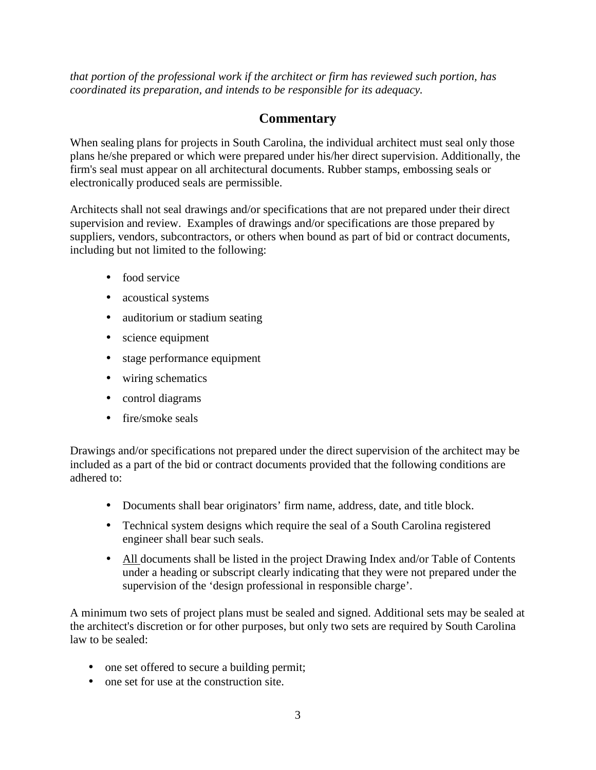*that portion of the professional work if the architect or firm has reviewed such portion, has coordinated its preparation, and intends to be responsible for its adequacy.* 

# **Commentary**

When sealing plans for projects in South Carolina, the individual architect must seal only those plans he/she prepared or which were prepared under his/her direct supervision. Additionally, the firm's seal must appear on all architectural documents. Rubber stamps, embossing seals or electronically produced seals are permissible.

Architects shall not seal drawings and/or specifications that are not prepared under their direct supervision and review. Examples of drawings and/or specifications are those prepared by suppliers, vendors, subcontractors, or others when bound as part of bid or contract documents, including but not limited to the following:

- food service
- acoustical systems
- auditorium or stadium seating
- science equipment
- stage performance equipment
- wiring schematics
- control diagrams
- fire/smoke seals

Drawings and/or specifications not prepared under the direct supervision of the architect may be included as a part of the bid or contract documents provided that the following conditions are adhered to:

- Documents shall bear originators' firm name, address, date, and title block.
- Technical system designs which require the seal of a South Carolina registered engineer shall bear such seals.
- All documents shall be listed in the project Drawing Index and/or Table of Contents under a heading or subscript clearly indicating that they were not prepared under the supervision of the 'design professional in responsible charge'.

A minimum two sets of project plans must be sealed and signed. Additional sets may be sealed at the architect's discretion or for other purposes, but only two sets are required by South Carolina law to be sealed:

- one set offered to secure a building permit;
- one set for use at the construction site.